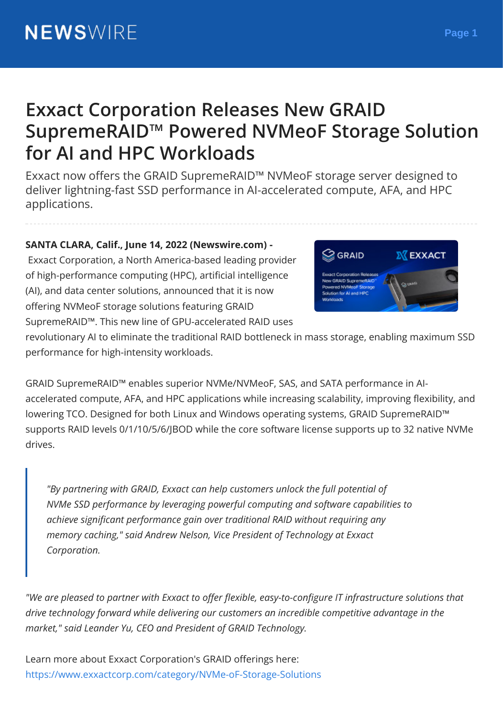# **Exxact Corporation Releases New GRAID SupremeRAID™ Powered NVMeoF Storage Solution for AI and HPC Workloads**

Exxact now offers the GRAID SupremeRAID™ NVMeoF storage server designed to deliver lightning-fast SSD performance in AI-accelerated compute, AFA, and HPC applications.

**SANTA CLARA, Calif., June 14, 2022 (Newswire.com) -**

Exxact Corporation, a North America-based leading provider of high-performance computing (HPC), artificial intelligence (AI), and data center solutions, announced that it is now offering NVMeoF storage solutions featuring GRAID SupremeRAID™. This new line of GPU-accelerated RAID uses

revolutionary AI to eliminate the traditional RAID bottleneck in mass storage, enabling maximum SSD performance for high-intensity workloads.

GRAID SupremeRAID™ enables superior NVMe/NVMeoF, SAS, and SATA performance in AIaccelerated compute, AFA, and HPC applications while increasing scalability, improving flexibility, and lowering TCO. Designed for both Linux and Windows operating systems, GRAID SupremeRAID™ supports RAID levels 0/1/10/5/6/JBOD while the core software license supports up to 32 native NVMe drives.

*"By partnering with GRAID, Exxact can help customers unlock the full potential of NVMe SSD performance by leveraging powerful computing and software capabilities to achieve significant performance gain over traditional RAID without requiring any memory caching," said Andrew Nelson, Vice President of Technology at Exxact Corporation.*

*"We are pleased to partner with Exxact to offer flexible, easy-to-configure IT infrastructure solutions that drive technology forward while delivering our customers an incredible competitive advantage in the market," said Leander Yu, CEO and President of GRAID Technology.*

Learn more about Exxact Corporation's GRAID offerings here: <https://www.exxactcorp.com/category/NVMe-oF-Storage-Solutions>

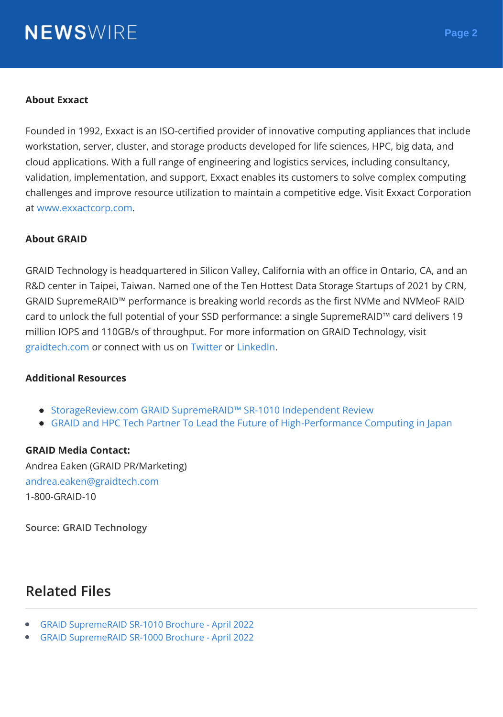# **NEWS**WIRE

#### **About Exxact**

Founded in 1992, Exxact is an ISO-certified provider of innovative computing appliances that include workstation, server, cluster, and storage products developed for life sciences, HPC, big data, and cloud applications. With a full range of engineering and logistics services, including consultancy, validation, implementation, and support, Exxact enables its customers to solve complex computing challenges and improve resource utilization to maintain a competitive edge. Visit Exxact Corporation at [www.exxactcorp.com](http://www.exxactcorp.com).

#### **About GRAID**

GRAID Technology is headquartered in Silicon Valley, California with an office in Ontario, CA, and an R&D center in Taipei, Taiwan. Named one of the Ten Hottest Data Storage Startups of 2021 by CRN, GRAID SupremeRAID™ performance is breaking world records as the first NVMe and NVMeoF RAID card to unlock the full potential of your SSD performance: a single SupremeRAID™ card delivers 19 million IOPS and 110GB/s of throughput. For more information on GRAID Technology, visit [graidtech.com](https://www.graidtech.com/) or connect with us on [Twitter](https://twitter.com/graidtechnology) or [LinkedIn](https://www.linkedin.com/company/graid-technology/).

#### **Additional Resources**

- [StorageReview.com](https://www.graidtech.com/news-storagereview-review-of-graid-supremeraid-sr-1010/) GRAID SupremeRAID™ SR-1010 Independent Review
- GRAID and HPC Tech Partner To Lead the Future of [High-Performance](https://www.graidtech.com/news-graid-and-hpc-tech-partner-to-lead-the-future-of-high-performance-computing-in-japan/) Computing in Japan

#### **GRAID Media Contact:**

Andrea Eaken (GRAID PR/Marketing) [andrea.eaken@graidtech.com](mailto:andrea.eaken@graidtech.com) 1-800-GRAID-10

**Source: GRAID Technology**

### **Related Files**

- GRAID [SupremeRAID](https://cdn.newswire.com/files/x/cd/3d/252a1e370f2999aae564c390df1a.pdf) SR-1010 Brochure April 2022
- GRAID [SupremeRAID](https://cdn.newswire.com/files/x/40/e7/1add2fc6a0e42a28eb0ff3238aca.pdf) SR-1000 Brochure April 2022